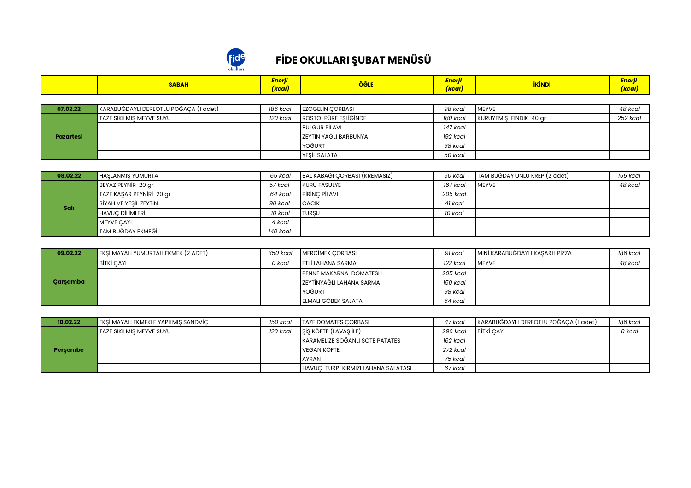

## **FİDE OKULLARI ŞUBAT MENÜSÜ**

|           | <b>SABAH</b>                          | Enerji<br>(kcal) | <b>ÖĞLE</b>                  | Enerji<br>(kcal) | <b>İKİNDİ</b>          | Enerji<br>(kcal) |  |  |
|-----------|---------------------------------------|------------------|------------------------------|------------------|------------------------|------------------|--|--|
|           |                                       |                  |                              |                  |                        |                  |  |  |
| 07.02.22  | KARABUĞDAYLI DEREOTLU POĞAÇA (1 adet) | 186 kcal         | <b>EZOGELIN CORBASI</b>      | 98 kcal          | <b>MEYVE</b>           | 48 kcal          |  |  |
|           | TAZE SIKILMIS MEYVE SUYU              | 120 kcal         | ROSTO-PÜRE ESLİĞİNDE         | 180 kcal         | KURUYEMİŞ-FINDIK-40 gr | 252 kcal         |  |  |
|           |                                       |                  | <b>BULGUR PILAVI</b>         | 147 kcal         |                        |                  |  |  |
| Pazartesi |                                       |                  | <b>ZEYTİN YAĞLI BARBUNYA</b> | 192 kcal         |                        |                  |  |  |
|           |                                       |                  | YOĞURT                       | 98 kcal          |                        |                  |  |  |
|           |                                       |                  | <b>YESİL SALATA</b>          | 50 kcal          |                        |                  |  |  |

| 08.02.22    | <b>HASLANMIS YUMURTA</b> | 65 kcal  | BAL KABAĞI ÇORBASI (KREMASIZ) | 60 kcal  | TAM BUĞDAY UNLU KREP (2 adet) | 156 kcal |
|-------------|--------------------------|----------|-------------------------------|----------|-------------------------------|----------|
| <b>Sali</b> | BEYAZ PEYNIR-20 gr       | 57 kcal  | KURU FASULYE                  | 167 kcal | <b>MEYVE</b>                  | 48 kcal  |
|             | TAZE KAŞAR PEYNİRİ-20 gr | 64 kcal  | <b>PIRINC PILAVI</b>          | 205 kcal |                               |          |
|             | SİYAH VE YEŞİL ZEYTİN    | 90 kcal  | <b>CACIK</b>                  | 41 kcal  |                               |          |
|             | <b>HAVUC DILIMLERI</b>   | 10 kcal  | <b>I</b> TURSU                | 10 kcal  |                               |          |
|             | MEYVE CAYI               | 4 kcal   |                               |          |                               |          |
|             | <b>TAM BUĞDAY EKMEĞİ</b> | 140 kcal |                               |          |                               |          |

| 09.02.22 | $\blacksquare$ EKSİ MAYALI YUMURTALI EKMEK (2 ADET) | 350 kcal | <b>IMERCIMEK CORBASI</b>       | 91 kcal  | MİNİ KARABUĞDAYLI KASARLI PİZZA | 186 kcal |
|----------|-----------------------------------------------------|----------|--------------------------------|----------|---------------------------------|----------|
| Carsamba | BITKI CAYI                                          | 0 kcal   | <b>LETLI LAHANA SARMA</b>      | 122 kcal | <b>IMEYVE</b>                   | 48 kcal  |
|          |                                                     |          | <b>PENNE MAKARNA-DOMATESLI</b> | 205 kcal |                                 |          |
|          |                                                     |          | I ZEYTİNYAĞLI LAHANA SARMA     | 150 kcal |                                 |          |
|          |                                                     |          | YOĞURT                         | 98 kcal  |                                 |          |
|          |                                                     |          | <b>LELMALI GÖBEK SALATA</b>    | 64 kcal  |                                 |          |

| 10.02.22 | EKSİ MAYALI EKMEKLE YAPILMIŞ SANDVİÇ | 150 kcal | <b>TAZE DOMATES CORBASI</b>        | 47 kcal  | KARABUĞDAYLI DEREOTLU POĞAÇA (1 adet) | 186 kcal |
|----------|--------------------------------------|----------|------------------------------------|----------|---------------------------------------|----------|
| Persembe | <b>TAZE SIKILMIS MEYVE SUYU</b>      | 120 kcal | SİS KÖFTE (LAVAŞ İLE)              | 296 kcal | BITKI CAYI                            | 0 kcal   |
|          |                                      |          | KARAMELIZE SOĞANLI SOTE PATATES    | 162 kcal |                                       |          |
|          |                                      |          | VEGAN KÖFTE                        | 272 kcal |                                       |          |
|          |                                      |          | <b>AYRAN</b>                       | 75 kcal  |                                       |          |
|          |                                      |          | HAVUC-TURP-KIRMIZI LAHANA SALATASI | 67 kcal  |                                       |          |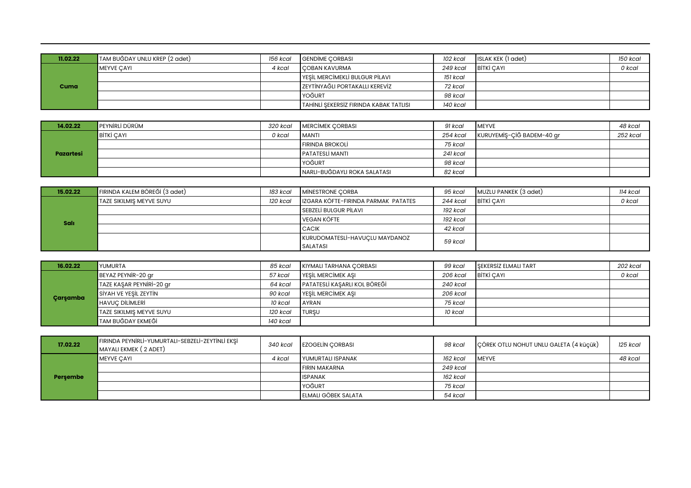| 11.02.22 | TAM BUĞDAY UNLU KREP (2 adet) | 156 kcal | <b>GENDIME CORBASI</b>                          | 102 kcal | ISLAK KEK (1 adet) | 150 kcal |
|----------|-------------------------------|----------|-------------------------------------------------|----------|--------------------|----------|
|          | MEYVE CAYI                    | 4 kcal   | <b>COBAN KAVURMA</b>                            | 249 kcal | BITKI CAYI         | 0 kcal   |
|          |                               |          | YESİL MERCİMEKLİ BULGUR PİLAVI                  | 151 kcal |                    |          |
| Cuma     |                               |          | I ZEYTİNYAĞLI PORTAKALLI KEREVİZ                | 72 kcal  |                    |          |
|          |                               |          | YOĞURT                                          | 98 kcal  |                    |          |
|          |                               |          | <b>I</b> TAHİNLİ SEKERSİZ FIRINDA KABAK TATLISI | 140 kcal |                    |          |

| 14.02.22  | <b>PEYNIRLİ DÜRÜM</b> | 320 kcal | <b>IMERCIMEK CORBASI</b>     | 91 kcal  | <b>IMEYVE</b>             | 48 kcal  |
|-----------|-----------------------|----------|------------------------------|----------|---------------------------|----------|
| Pazartesi | <b>BİTKİ CAYI</b>     | 0 kcal   | <b>MANTI</b>                 | 254 kcal | KURUYEMİŞ-ÇİĞ BADEM-40 gr | 252 kcal |
|           |                       |          | <b>FIRINDA BROKOLI</b>       | 75 kcal  |                           |          |
|           |                       |          | <b>PATATESLI MANTI</b>       | 241 kcal |                           |          |
|           |                       |          | YOĞURT                       | 98 kcal  |                           |          |
|           |                       |          | NARLI-BUĞDAYLI ROKA SALATASI | 82 kcal  |                           |          |

| 15.02.22 | FIRINDA KALEM BÖREĞİ (3 adet)   | 183 kcal | <b>IMINESTRONE CORBA</b>            | 95 kcal  | MUZLU PANKEK (3 adet) | 114 kcal |
|----------|---------------------------------|----------|-------------------------------------|----------|-----------------------|----------|
|          | <b>TAZE SIKILMIS MEYVE SUYU</b> | 120 kcal | IZGARA KÖFTE-FIRINDA PARMAK PATATES | 244 kcal | BITKI CAYI            | 0 kcal   |
|          |                                 |          | <b>I SEBZELI BULGUR PILAVI</b>      | 192 kcal |                       |          |
| Salı     |                                 |          | VEGAN KÖFTE                         | 192 kcal |                       |          |
|          |                                 |          | <b>CACIK</b>                        | 42 kcal  |                       |          |
|          |                                 |          | KURUDOMATESLİ-HAVUÇLU MAYDANOZ      | 59 kcal  |                       |          |
|          |                                 |          | <b>SALATASI</b>                     |          |                       |          |

| 16.02.22 | <b>IYUMURTA</b>                 | 85 kcal  | KIYMALI TARHANA CORBASI      | 99 kcal  | <b>SEKERSIZ ELMALI TART</b> | 202 kcal |
|----------|---------------------------------|----------|------------------------------|----------|-----------------------------|----------|
|          | BEYAZ PEYNIR-20 gr              | 57 kcal  | <b>YESİL MERCİMEK ASI</b>    | 206 kcal | BITKI CAYL                  | 0 kcal   |
|          | TAZE KAŞAR PEYNİRİ-20 gr        | 64 kcal  | PATATESLİ KASARLI KOL BÖREĞİ | 240 kcal |                             |          |
| Carsamba | SİYAH VE YEŞİL ZEYTİN           | 90 kcal  | <b>YESİL MERCİMEK ASI</b>    | 206 kcal |                             |          |
|          | <b>HAVUC DILIMLERI</b>          | 10 kcal  | <b>AYRAN</b>                 | 75 kcal  |                             |          |
|          | <b>TAZE SIKILMIS MEYVE SUYU</b> | 120 kcal | <b>I</b> TURSU               | 10 kcal  |                             |          |
|          | <b>TAM BUĞDAY EKMEĞİ</b>        | 140 kcal |                              |          |                             |          |

| 17.02.22 | FIRINDA PEYNIRLİ-YUMURTALI-SEBZELİ-ZEYTİNLİ EKŞİ<br>MAYALI EKMEK (2 ADET) | 340 kcal | <b>EZOGELIN CORBASI</b>  | 98 kcal  | CÖREK OTLU NOHUT UNLU GALETA (4 küçük) | 125 kcal |
|----------|---------------------------------------------------------------------------|----------|--------------------------|----------|----------------------------------------|----------|
|          | <b>MEYVE CAYI</b>                                                         | 4 kcal   | <b>YUMURTALI ISPANAK</b> | 162 kcal | <b>IMEYVE</b>                          | 48 kcal  |
|          |                                                                           |          | <b>FIRIN MAKARNA</b>     | 249 kcal |                                        |          |
| Persembe |                                                                           |          | <b>ISPANAK</b>           | 162 kcal |                                        |          |
|          |                                                                           |          | YOĞURT                   | 75 kcal  |                                        |          |
|          |                                                                           |          | ELMALI GÖBEK SALATA      | 54 kcal  |                                        |          |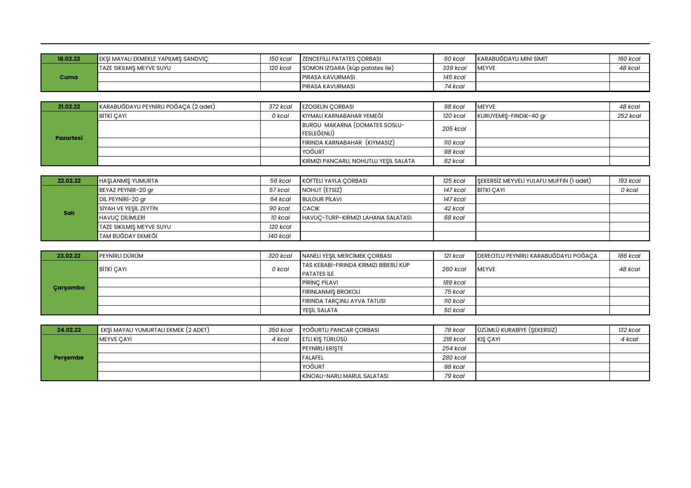| 18.02.22 | EKŞİ MAYALI EKMEKLE YAPILMIŞ SANDVİÇ | 150 kcal | <b>IZENCEFILLI PATATES CORBASI</b> | 60 kcal  | I KARABUĞDAYLI MİNİ SİMİT | 160 kcal |
|----------|--------------------------------------|----------|------------------------------------|----------|---------------------------|----------|
| Cuma     | <b>TAZE SIKILMIS MEYVE SUYU</b>      | 120 kcal | SOMON IZGARA (küp patates ile)     | 339 kcal | <b>IMEYVE</b>             | 48 kcal  |
|          |                                      |          | <b>IPIRASA KAVURMASI</b>           | 145 kcal |                           |          |
|          |                                      |          | <b>IPIRASA KAVURMASI</b>           | 74 kcal  |                           |          |

| 21.02.22  | KARABUĞDAYLI PEYNIRLI POĞAÇA (2 adet) | 372 kcal | <b>EZOGELIN CORBASI</b>                      | 98 kcal  | <b>IMEYVE</b>          | 48 kcal  |
|-----------|---------------------------------------|----------|----------------------------------------------|----------|------------------------|----------|
|           | <b>BITKI CAYI</b>                     | 0 kcal   | KIYMALI KARNABAHAR YEMEĞİ                    | 120 kcal | KURUYEMIS-FINDIK-40 gr | 252 kcal |
|           |                                       |          | BURGU MAKARNA (DOMATES SOSLU-<br>FESLEĞENLİ) | 205 kcal |                        |          |
| Pazartesi |                                       |          | FIRINDA KARNABAHAR (KIYMASIZ)                | 110 kcal |                        |          |
|           |                                       |          | <b>YOĞURT</b>                                | 98 kcal  |                        |          |
|           |                                       |          | KIRMIZI PANCARLI, NOHUTLU YEŞİL SALATA       | 82 kcal  |                        |          |

| 22.02.22    | <b>HASLANMIS YUMURTA</b>        | 56 kcal  | <b>I</b> KÖFTELİ YAYLA CORBASI     | 125 kcal | SEKERSIZ MEYVELI YULAFLI MUFFIN (1 adet) | 193 kcal |
|-------------|---------------------------------|----------|------------------------------------|----------|------------------------------------------|----------|
| <b>Sali</b> | BEYAZ PEYNIR-20 gr              | 57 kcal  | NOHUT (ETSIZ)                      | 147 kcal | BITKI CAYL                               | 0 kcal   |
|             | Dil PEYNIRI-20 gr               | 64 kcal  | <b>BULGUR PILAVI</b>               | 147 kcal |                                          |          |
|             | SİYAH VE YEŞİL ZEYTİN           | 90 kcal  | <b>CACIK</b>                       | 42 kcal  |                                          |          |
|             | <b>HAVUC DILIMLERI</b>          | 10 kcal  | HAVUC-TURP-KIRMIZI LAHANA SALATASI | 68 kcal  |                                          |          |
|             | <b>TAZE SIKILMIS MEYVE SUYU</b> | 120 kcal |                                    |          |                                          |          |
|             | <b>TAM BUĞDAY EKMEĞİ</b>        | 140 kcal |                                    |          |                                          |          |

| 23.02.22 | PEYNIRLİ DÜRÜM    | 320 kcal | NANELİ YEŞİL MERCİMEK ÇORBASI          | 121 kcal | DEREOTLU PEYNIRLI KARABUĞDAYLI POĞAÇA | 186 kcal |
|----------|-------------------|----------|----------------------------------------|----------|---------------------------------------|----------|
| Carsamba | <b>BITKI CAYI</b> | 0 kcal   | TAS KEBABI-FIRINDA KIRMIZI BİBERLİ KÜP | 260 kcal | <b>IMEYVE</b>                         | 48 kcal  |
|          |                   |          | <b>PATATES ILE</b>                     |          |                                       |          |
|          |                   |          | <b>PIRINC PILAVI</b>                   | 189 kcal |                                       |          |
|          |                   |          | <b>FIRINLANMIS BROKOLI</b>             | 75 kcal  |                                       |          |
|          |                   |          | <b>FIRINDA TARCINLI AYVA TATLISI</b>   | 110 kcal |                                       |          |
|          |                   |          | YESİL SALATA                           | 50 kcal  |                                       |          |

| 24.02.22 | EKŞİ MAYALI YUMURTALI EKMEK (2 ADET) | 350 kcal | YOĞURTLI PANCAR ÇORBASI             | 78 kcal  | ÜZÜMLÜ KURABİYE (ŞEKERSİZ) | 132 kcal |
|----------|--------------------------------------|----------|-------------------------------------|----------|----------------------------|----------|
| Persembe | <b>IMEYVE CAYL</b>                   | 4 kcal   | letli kıs türlüsü                   | 218 kcal | <b>IKIS CAYI</b>           | 4 kcal   |
|          |                                      |          | <b>PEYNIRLI ERISTE</b>              | 254 kcal |                            |          |
|          |                                      |          | <b>FALAFEL</b>                      | 280 kcal |                            |          |
|          |                                      |          | <b>YOĞURT</b>                       | 98 kcal  |                            |          |
|          |                                      |          | <b>KINOALI-NARLI MARUL SALATASI</b> | 79 kcal  |                            |          |